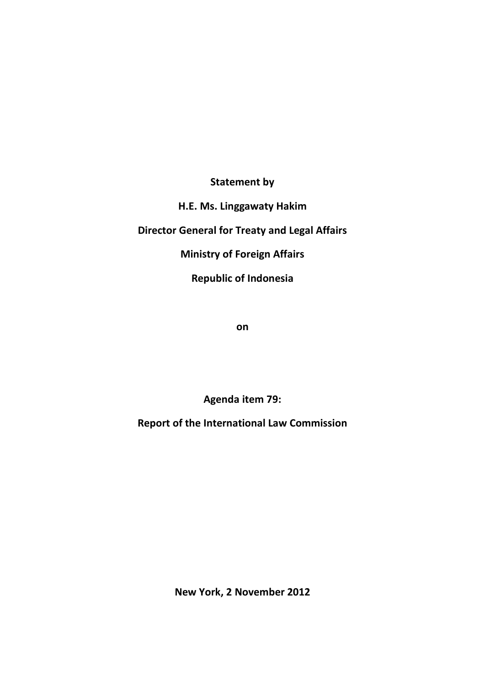**Statement by**

**H.E. Ms. Linggawaty Hakim**

**Director General for Treaty and Legal Affairs**

**Ministry of Foreign Affairs**

**Republic of Indonesia**

**on**

**Agenda item 79:**

**Report of the International Law Commission**

**New York, 2 November 2012**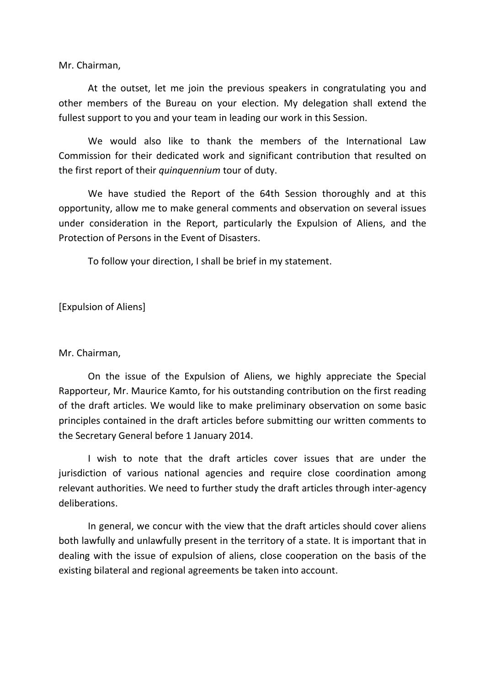Mr. Chairman,

At the outset, let me join the previous speakers in congratulating you and other members of the Bureau on your election. My delegation shall extend the fullest support to you and your team in leading our work in this Session.

We would also like to thank the members of the International Law Commission for their dedicated work and significant contribution that resulted on the first report of their *quinquennium* tour of duty.

We have studied the Report of the 64th Session thoroughly and at this opportunity, allow me to make general comments and observation on several issues under consideration in the Report, particularly the Expulsion of Aliens, and the Protection of Persons in the Event of Disasters.

To follow your direction, I shall be brief in my statement.

[Expulsion of Aliens]

Mr. Chairman,

On the issue of the Expulsion of Aliens, we highly appreciate the Special Rapporteur, Mr. Maurice Kamto, for his outstanding contribution on the first reading of the draft articles. We would like to make preliminary observation on some basic principles contained in the draft articles before submitting our written comments to the Secretary General before 1 January 2014.

I wish to note that the draft articles cover issues that are under the jurisdiction of various national agencies and require close coordination among relevant authorities. We need to further study the draft articles through inter-agency deliberations.

In general, we concur with the view that the draft articles should cover aliens both lawfully and unlawfully present in the territory of a state. It is important that in dealing with the issue of expulsion of aliens, close cooperation on the basis of the existing bilateral and regional agreements be taken into account.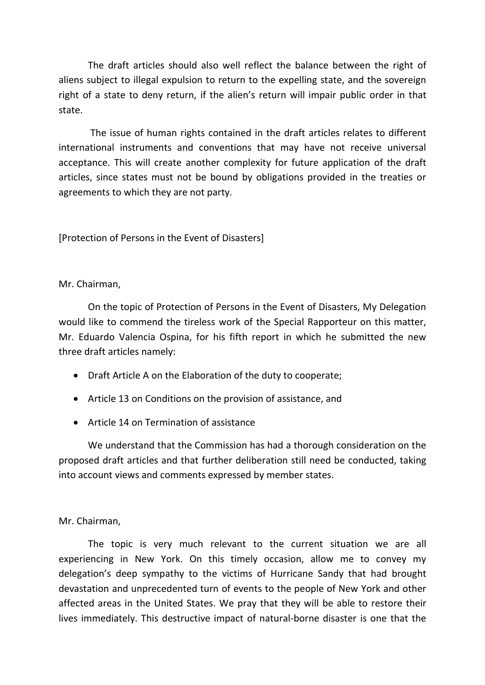The draft articles should also well reflect the balance between the right of aliens subject to illegal expulsion to return to the expelling state, and the sovereign right of a state to deny return, if the alien's return will impair public order in that state.

The issue of human rights contained in the draft articles relates to different international instruments and conventions that may have not receive universal acceptance. This will create another complexity for future application of the draft articles, since states must not be bound by obligations provided in the treaties or agreements to which they are not party.

[Protection of Persons in the Event of Disasters]

## Mr. Chairman,

On the topic of Protection of Persons in the Event of Disasters, My Delegation would like to commend the tireless work of the Special Rapporteur on this matter, Mr. Eduardo Valencia Ospina, for his fifth report in which he submitted the new three draft articles namely:

- Draft Article A on the Elaboration of the duty to cooperate;
- Article 13 on Conditions on the provision of assistance, and
- Article 14 on Termination of assistance

We understand that the Commission has had a thorough consideration on the proposed draft articles and that further deliberation still need be conducted, taking into account views and comments expressed by member states.

## Mr. Chairman,

The topic is very much relevant to the current situation we are all experiencing in New York. On this timely occasion, allow me to convey my delegation's deep sympathy to the victims of Hurricane Sandy that had brought devastation and unprecedented turn of events to the people of New York and other affected areas in the United States. We pray that they will be able to restore their lives immediately. This destructive impact of natural-borne disaster is one that the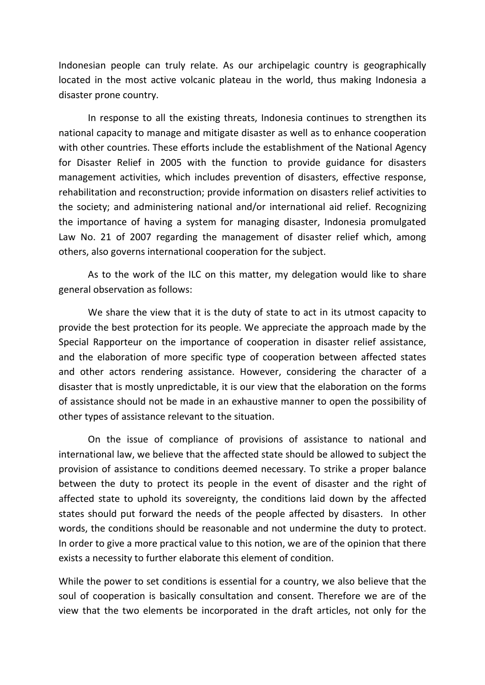Indonesian people can truly relate. As our archipelagic country is geographically located in the most active volcanic plateau in the world, thus making Indonesia a disaster prone country.

In response to all the existing threats, Indonesia continues to strengthen its national capacity to manage and mitigate disaster as well as to enhance cooperation with other countries. These efforts include the establishment of the National Agency for Disaster Relief in 2005 with the function to provide guidance for disasters management activities, which includes prevention of disasters, effective response, rehabilitation and reconstruction; provide information on disasters relief activities to the society; and administering national and/or international aid relief. Recognizing the importance of having a system for managing disaster, Indonesia promulgated Law No. 21 of 2007 regarding the management of disaster relief which, among others, also governs international cooperation for the subject.

As to the work of the ILC on this matter, my delegation would like to share general observation as follows:

We share the view that it is the duty of state to act in its utmost capacity to provide the best protection for its people. We appreciate the approach made by the Special Rapporteur on the importance of cooperation in disaster relief assistance, and the elaboration of more specific type of cooperation between affected states and other actors rendering assistance. However, considering the character of a disaster that is mostly unpredictable, it is our view that the elaboration on the forms of assistance should not be made in an exhaustive manner to open the possibility of other types of assistance relevant to the situation.

On the issue of compliance of provisions of assistance to national and international law, we believe that the affected state should be allowed to subject the provision of assistance to conditions deemed necessary. To strike a proper balance between the duty to protect its people in the event of disaster and the right of affected state to uphold its sovereignty, the conditions laid down by the affected states should put forward the needs of the people affected by disasters. In other words, the conditions should be reasonable and not undermine the duty to protect. In order to give a more practical value to this notion, we are of the opinion that there exists a necessity to further elaborate this element of condition.

While the power to set conditions is essential for a country, we also believe that the soul of cooperation is basically consultation and consent. Therefore we are of the view that the two elements be incorporated in the draft articles, not only for the